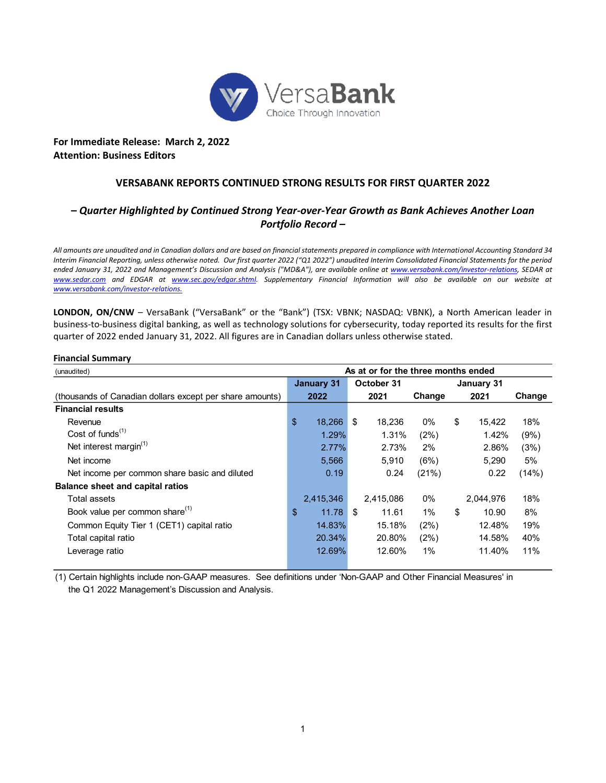

# **For Immediate Release: March 2, 2022 Attention: Business Editors**

# **VERSABANK REPORTS CONTINUED STRONG RESULTS FOR FIRST QUARTER 2022**

# *– Quarter Highlighted by Continued Strong Year-over-Year Growth as Bank Achieves Another Loan Portfolio Record –*

*All amounts are unaudited and in Canadian dollars and are based on financial statements prepared in compliance with International Accounting Standard 34*  Interim Financial Reporting, unless otherwise noted. Our first quarter 2022 ("Q1 2022") unaudited Interim Consolidated Financial Statements for the period *ended January 31, 2022 and Management's Discussion and Analysis ("MD&A"), are available online at [www.versabank.com/investor-relations,](http://www.versabank.com/investor-relations) SEDAR at [www.sedar.com](https://www.sedar.com/) and EDGAR at [www.sec.gov/edgar.shtml.](https://www.sec.gov/edgar.shtml) Supplementary Financial Information will also be available on our website at [www.versabank.com/investor-relations.](http://www.versabank.com/investor-relations)*

LONDON, ON/CNW - VersaBank ("VersaBank" or the "Bank") (TSX: VBNK; NASDAQ: VBNK), a North American leader in business-to-business digital banking, as well as technology solutions for cybersecurity, today reported its results for the first quarter of 2022 ended January 31, 2022. All figures are in Canadian dollars unless otherwise stated.

#### **Financial Summary**

| (unaudited)                                              | As at or for the three months ended |    |            |        |            |           |        |
|----------------------------------------------------------|-------------------------------------|----|------------|--------|------------|-----------|--------|
|                                                          | January 31                          |    | October 31 |        | January 31 |           |        |
| (thousands of Canadian dollars except per share amounts) | 2022                                |    | 2021       | Change |            | 2021      | Change |
| <b>Financial results</b>                                 |                                     |    |            |        |            |           |        |
| Revenue                                                  | $\frac{1}{2}$<br>18,266             | \$ | 18.236     | 0%     | \$         | 15.422    | 18%    |
| Cost of funds $(1)$                                      | 1.29%                               |    | 1.31%      | (2%)   |            | 1.42%     | (9%)   |
| Net interest margin $(1)$                                | 2.77%                               |    | 2.73%      | 2%     |            | 2.86%     | (3%)   |
| Net income                                               | 5,566                               |    | 5,910      | (6%)   |            | 5,290     | 5%     |
| Net income per common share basic and diluted            | 0.19                                |    | 0.24       | (21%)  |            | 0.22      | (14%)  |
| <b>Balance sheet and capital ratios</b>                  |                                     |    |            |        |            |           |        |
| Total assets                                             | 2,415,346                           |    | 2,415,086  | $0\%$  |            | 2,044,976 | 18%    |
| Book value per common share <sup>(1)</sup>               | \$<br>11.78                         | \$ | 11.61      | $1\%$  | \$         | 10.90     | 8%     |
| Common Equity Tier 1 (CET1) capital ratio                | 14.83%                              |    | 15.18%     | (2%)   |            | 12.48%    | 19%    |
| Total capital ratio                                      | 20.34%                              |    | 20.80%     | (2%)   |            | 14.58%    | 40%    |
| Leverage ratio                                           | 12.69%                              |    | 12.60%     | 1%     |            | 11.40%    | 11%    |

(1) Certain highlights include non-GAAP measures. See definitions under 'Non-GAAP and Other Financial Measures' in the Q1 2022 Management's Discussion and Analysis.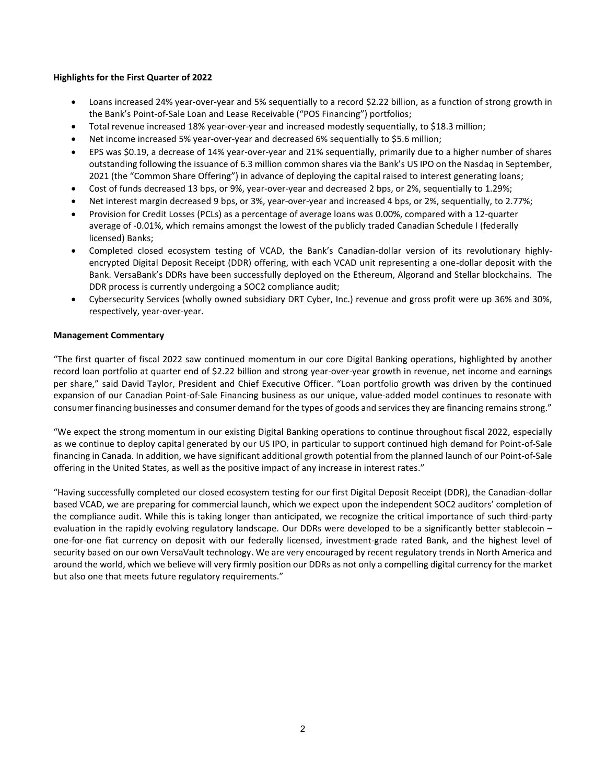# **Highlights for the First Quarter of 2022**

- Loans increased 24% year-over-year and 5% sequentially to a record \$2.22 billion, as a function of strong growth in the Bank's Point-of-Sale Loan and Lease Receivable ("POS Financing") portfolios;
- Total revenue increased 18% year-over-year and increased modestly sequentially, to \$18.3 million;
- Net income increased 5% year-over-year and decreased 6% sequentially to \$5.6 million;
- EPS was \$0.19, a decrease of 14% year-over-year and 21% sequentially, primarily due to a higher number of shares outstanding following the issuance of 6.3 million common shares via the Bank's US IPO on the Nasdaq in September, 2021 (the "Common Share Offering") in advance of deploying the capital raised to interest generating loans;
- Cost of funds decreased 13 bps, or 9%, year-over-year and decreased 2 bps, or 2%, sequentially to 1.29%;
- Net interest margin decreased 9 bps, or 3%, year-over-year and increased 4 bps, or 2%, sequentially, to 2.77%;
- Provision for Credit Losses (PCLs) as a percentage of average loans was 0.00%, compared with a 12-quarter average of -0.01%, which remains amongst the lowest of the publicly traded Canadian Schedule I (federally licensed) Banks;
- Completed closed ecosystem testing of VCAD, the Bank's Canadian-dollar version of its revolutionary highlyencrypted Digital Deposit Receipt (DDR) offering, with each VCAD unit representing a one-dollar deposit with the Bank. VersaBank's DDRs have been successfully deployed on the Ethereum, Algorand and Stellar blockchains. The DDR process is currently undergoing a SOC2 compliance audit;
- Cybersecurity Services (wholly owned subsidiary DRT Cyber, Inc.) revenue and gross profit were up 36% and 30%, respectively, year-over-year.

## **Management Commentary**

"The first quarter of fiscal 2022 saw continued momentum in our core Digital Banking operations, highlighted by another record loan portfolio at quarter end of \$2.22 billion and strong year-over-year growth in revenue, net income and earnings per share," said David Taylor, President and Chief Executive Officer. "Loan portfolio growth was driven by the continued expansion of our Canadian Point-of-Sale Financing business as our unique, value-added model continues to resonate with consumer financing businesses and consumer demand for the types of goods and services they are financing remains strong."

"We expect the strong momentum in our existing Digital Banking operations to continue throughout fiscal 2022, especially as we continue to deploy capital generated by our US IPO, in particular to support continued high demand for Point-of-Sale financing in Canada. In addition, we have significant additional growth potential from the planned launch of our Point-of-Sale offering in the United States, as well as the positive impact of any increase in interest rates."

"Having successfully completed our closed ecosystem testing for our first Digital Deposit Receipt (DDR), the Canadian-dollar based VCAD, we are preparing for commercial launch, which we expect upon the independent SOC2 auditors' completion of the compliance audit. While this is taking longer than anticipated, we recognize the critical importance of such third-party evaluation in the rapidly evolving regulatory landscape. Our DDRs were developed to be a significantly better stablecoin – one-for-one fiat currency on deposit with our federally licensed, investment-grade rated Bank, and the highest level of security based on our own VersaVault technology. We are very encouraged by recent regulatory trends in North America and around the world, which we believe will very firmly position our DDRs as not only a compelling digital currency for the market but also one that meets future regulatory requirements."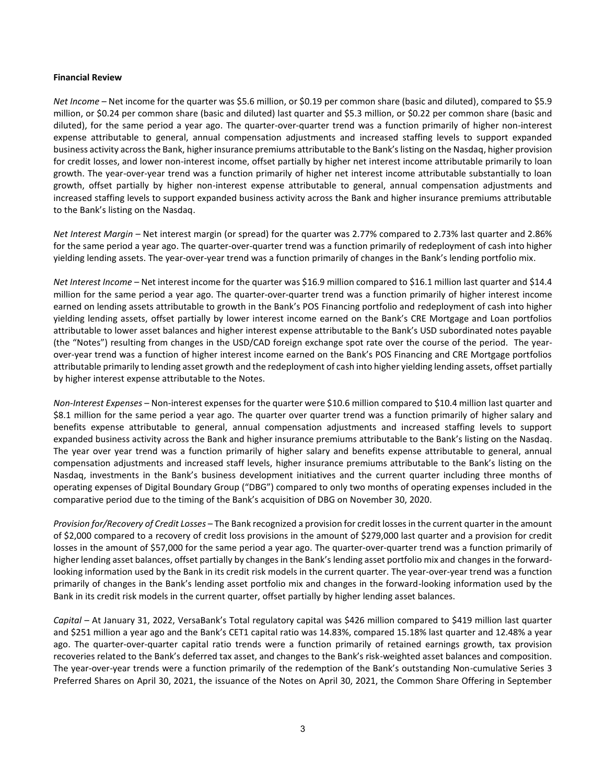#### **Financial Review**

*Net Income* – Net income for the quarter was \$5.6 million, or \$0.19 per common share (basic and diluted), compared to \$5.9 million, or \$0.24 per common share (basic and diluted) last quarter and \$5.3 million, or \$0.22 per common share (basic and diluted), for the same period a year ago. The quarter-over-quarter trend was a function primarily of higher non-interest expense attributable to general, annual compensation adjustments and increased staffing levels to support expanded business activity across the Bank, higher insurance premiums attributable to the Bank's listing on the Nasdaq, higher provision for credit losses, and lower non-interest income, offset partially by higher net interest income attributable primarily to loan growth. The year-over-year trend was a function primarily of higher net interest income attributable substantially to loan growth, offset partially by higher non-interest expense attributable to general, annual compensation adjustments and increased staffing levels to support expanded business activity across the Bank and higher insurance premiums attributable to the Bank's listing on the Nasdaq.

*Net Interest Margin* – Net interest margin (or spread) for the quarter was 2.77% compared to 2.73% last quarter and 2.86% for the same period a year ago. The quarter-over-quarter trend was a function primarily of redeployment of cash into higher yielding lending assets. The year-over-year trend was a function primarily of changes in the Bank's lending portfolio mix.

*Net Interest Income* – Net interest income for the quarter was \$16.9 million compared to \$16.1 million last quarter and \$14.4 million for the same period a year ago. The quarter-over-quarter trend was a function primarily of higher interest income earned on lending assets attributable to growth in the Bank's POS Financing portfolio and redeployment of cash into higher yielding lending assets, offset partially by lower interest income earned on the Bank's CRE Mortgage and Loan portfolios attributable to lower asset balances and higher interest expense attributable to the Bank's USD subordinated notes payable (the "Notes") resulting from changes in the USD/CAD foreign exchange spot rate over the course of the period. The yearover-year trend was a function of higher interest income earned on the Bank's POS Financing and CRE Mortgage portfolios attributable primarily to lending asset growth and the redeployment of cash into higher yielding lending assets, offset partially by higher interest expense attributable to the Notes.

*Non-Interest Expenses* – Non-interest expenses for the quarter were \$10.6 million compared to \$10.4 million last quarter and \$8.1 million for the same period a year ago. The quarter over quarter trend was a function primarily of higher salary and benefits expense attributable to general, annual compensation adjustments and increased staffing levels to support expanded business activity across the Bank and higher insurance premiums attributable to the Bank's listing on the Nasdaq. The year over year trend was a function primarily of higher salary and benefits expense attributable to general, annual compensation adjustments and increased staff levels, higher insurance premiums attributable to the Bank's listing on the Nasdaq, investments in the Bank's business development initiatives and the current quarter including three months of operating expenses of Digital Boundary Group ("DBG") compared to only two months of operating expenses included in the comparative period due to the timing of the Bank's acquisition of DBG on November 30, 2020.

*Provision for/Recovery of Credit Losses* – The Bank recognized a provision for credit losses in the current quarter in the amount of \$2,000 compared to a recovery of credit loss provisions in the amount of \$279,000 last quarter and a provision for credit losses in the amount of \$57,000 for the same period a year ago. The quarter-over-quarter trend was a function primarily of higher lending asset balances, offset partially by changes in the Bank's lending asset portfolio mix and changes in the forwardlooking information used by the Bank in its credit risk models in the current quarter. The year-over-year trend was a function primarily of changes in the Bank's lending asset portfolio mix and changes in the forward-looking information used by the Bank in its credit risk models in the current quarter, offset partially by higher lending asset balances.

*Capital* – At January 31, 2022, VersaBank's Total regulatory capital was \$426 million compared to \$419 million last quarter and \$251 million a year ago and the Bank's CET1 capital ratio was 14.83%, compared 15.18% last quarter and 12.48% a year ago. The quarter-over-quarter capital ratio trends were a function primarily of retained earnings growth, tax provision recoveries related to the Bank's deferred tax asset, and changes to the Bank's risk-weighted asset balances and composition. The year-over-year trends were a function primarily of the redemption of the Bank's outstanding Non-cumulative Series 3 Preferred Shares on April 30, 2021, the issuance of the Notes on April 30, 2021, the Common Share Offering in September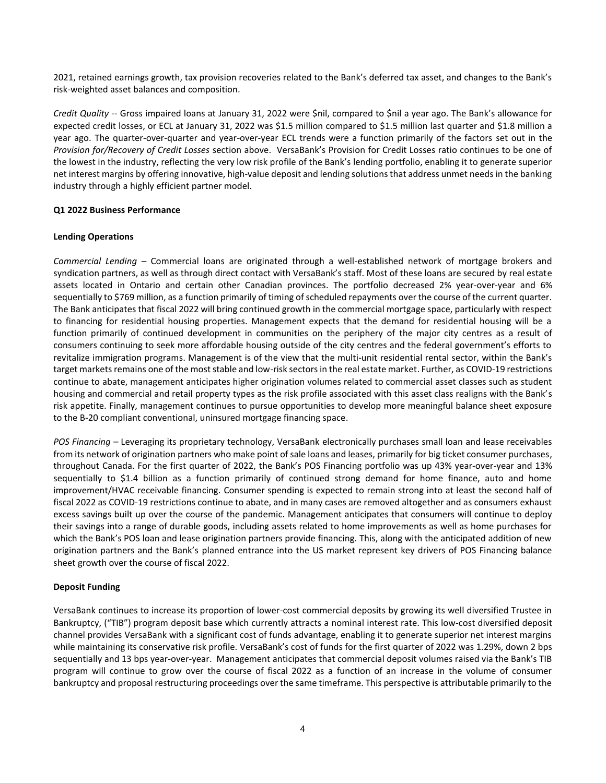2021, retained earnings growth, tax provision recoveries related to the Bank's deferred tax asset, and changes to the Bank's risk-weighted asset balances and composition.

*Credit Quality* -- Gross impaired loans at January 31, 2022 were \$nil, compared to \$nil a year ago. The Bank's allowance for expected credit losses, or ECL at January 31, 2022 was \$1.5 million compared to \$1.5 million last quarter and \$1.8 million a year ago. The quarter-over-quarter and year-over-year ECL trends were a function primarily of the factors set out in the *Provision for/Recovery of Credit Losses* section above. VersaBank's Provision for Credit Losses ratio continues to be one of the lowest in the industry, reflecting the very low risk profile of the Bank's lending portfolio, enabling it to generate superior net interest margins by offering innovative, high-value deposit and lending solutions that address unmet needs in the banking industry through a highly efficient partner model.

## **Q1 2022 Business Performance**

# **Lending Operations**

*Commercial Lending –* Commercial loans are originated through a well-established network of mortgage brokers and syndication partners, as well as through direct contact with VersaBank's staff. Most of these loans are secured by real estate assets located in Ontario and certain other Canadian provinces. The portfolio decreased 2% year-over-year and 6% sequentially to \$769 million, as a function primarily of timing of scheduled repayments over the course of the current quarter. The Bank anticipates that fiscal 2022 will bring continued growth in the commercial mortgage space, particularly with respect to financing for residential housing properties. Management expects that the demand for residential housing will be a function primarily of continued development in communities on the periphery of the major city centres as a result of consumers continuing to seek more affordable housing outside of the city centres and the federal government's efforts to revitalize immigration programs. Management is of the view that the multi-unit residential rental sector, within the Bank's target markets remains one of the most stable and low-risk sectors in the real estate market. Further, as COVID-19 restrictions continue to abate, management anticipates higher origination volumes related to commercial asset classes such as student housing and commercial and retail property types as the risk profile associated with this asset class realigns with the Bank's risk appetite. Finally, management continues to pursue opportunities to develop more meaningful balance sheet exposure to the B-20 compliant conventional, uninsured mortgage financing space.

*POS Financing –* Leveraging its proprietary technology, VersaBank electronically purchases small loan and lease receivables from its network of origination partners who make point of sale loans and leases, primarily for big ticket consumer purchases, throughout Canada. For the first quarter of 2022, the Bank's POS Financing portfolio was up 43% year-over-year and 13% sequentially to \$1.4 billion as a function primarily of continued strong demand for home finance, auto and home improvement/HVAC receivable financing. Consumer spending is expected to remain strong into at least the second half of fiscal 2022 as COVID-19 restrictions continue to abate, and in many cases are removed altogether and as consumers exhaust excess savings built up over the course of the pandemic. Management anticipates that consumers will continue to deploy their savings into a range of durable goods, including assets related to home improvements as well as home purchases for which the Bank's POS loan and lease origination partners provide financing. This, along with the anticipated addition of new origination partners and the Bank's planned entrance into the US market represent key drivers of POS Financing balance sheet growth over the course of fiscal 2022.

# **Deposit Funding**

VersaBank continues to increase its proportion of lower-cost commercial deposits by growing its well diversified Trustee in Bankruptcy, ("TIB") program deposit base which currently attracts a nominal interest rate. This low-cost diversified deposit channel provides VersaBank with a significant cost of funds advantage, enabling it to generate superior net interest margins while maintaining its conservative risk profile. VersaBank's cost of funds for the first quarter of 2022 was 1.29%, down 2 bps sequentially and 13 bps year-over-year. Management anticipates that commercial deposit volumes raised via the Bank's TIB program will continue to grow over the course of fiscal 2022 as a function of an increase in the volume of consumer bankruptcy and proposal restructuring proceedings over the same timeframe. This perspective is attributable primarily to the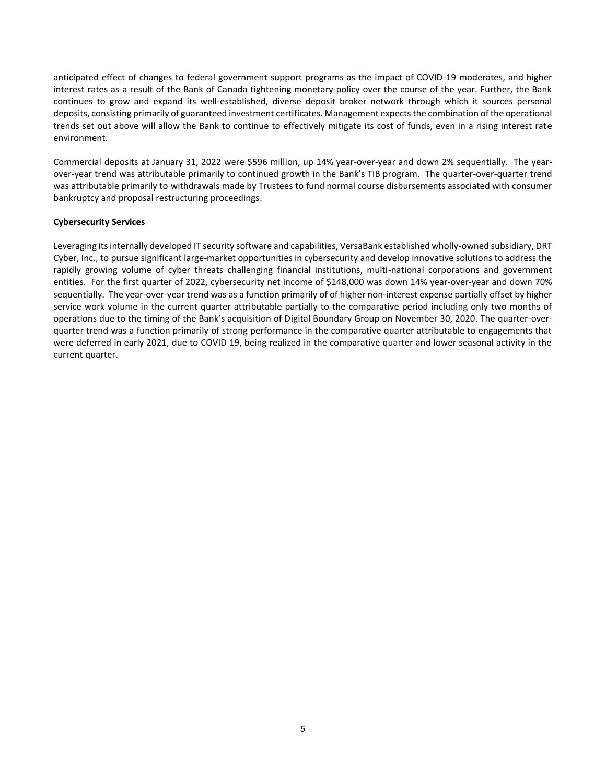anticipated effect of changes to federal government support programs as the impact of COVID-19 moderates, and higher interest rates as a result of the Bank of Canada tightening monetary policy over the course of the year. Further, the Bank continues to grow and expand its well-established, diverse deposit broker network through which it sources personal deposits, consisting primarily of guaranteed investment certificates. Management expects the combination of the operational trends set out above will allow the Bank to continue to effectively mitigate its cost of funds, even in a rising interest rate environment.

Commercial deposits at January 31, 2022 were \$596 million, up 14% year-over-year and down 2% sequentially. The yearover-year trend was attributable primarily to continued growth in the Bank's TIB program. The quarter-over-quarter trend was attributable primarily to withdrawals made by Trustees to fund normal course disbursements associated with consumer bankruptcy and proposal restructuring proceedings.

# **Cybersecurity Services**

Leveraging its internally developed IT security software and capabilities, VersaBank established wholly-owned subsidiary, DRT Cyber, Inc., to pursue significant large-market opportunities in cybersecurity and develop innovative solutions to address the rapidly growing volume of cyber threats challenging financial institutions, multi-national corporations and government entities. For the first quarter of 2022, cybersecurity net income of \$148,000 was down 14% year-over-year and down 70% sequentially. The year-over-year trend was as a function primarily of of higher non-interest expense partially offset by higher service work volume in the current quarter attributable partially to the comparative period including only two months of operations due to the timing of the Bank's acquisition of Digital Boundary Group on November 30, 2020. The quarter-overquarter trend was a function primarily of strong performance in the comparative quarter attributable to engagements that were deferred in early 2021, due to COVID 19, being realized in the comparative quarter and lower seasonal activity in the current quarter.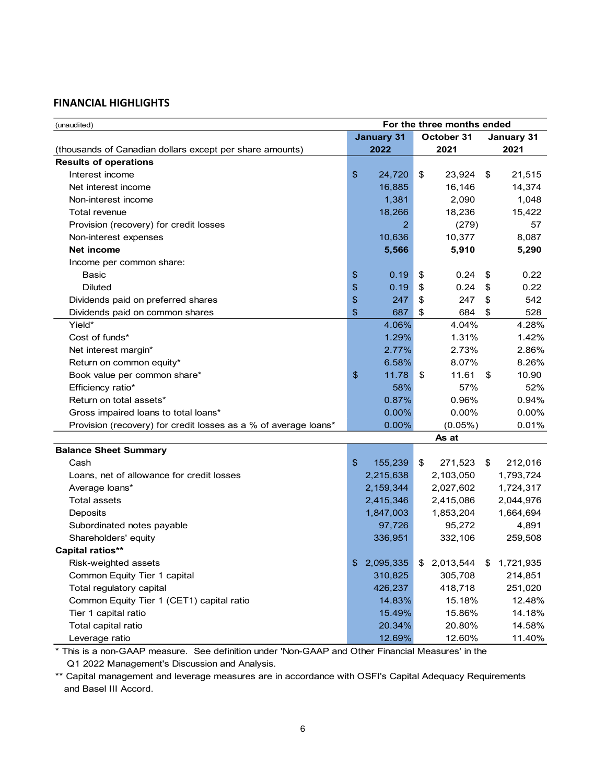# **FINANCIAL HIGHLIGHTS**

| (unaudited)                                                     | For the three months ended |                   |               |           |            |           |
|-----------------------------------------------------------------|----------------------------|-------------------|---------------|-----------|------------|-----------|
|                                                                 |                            | <b>January 31</b> | October 31    |           | January 31 |           |
| (thousands of Canadian dollars except per share amounts)        |                            | 2022              |               | 2021      |            | 2021      |
| <b>Results of operations</b>                                    |                            |                   |               |           |            |           |
| Interest income                                                 | \$                         | 24,720            | \$            | 23,924    | \$         | 21,515    |
| Net interest income                                             |                            | 16,885            |               | 16,146    |            | 14,374    |
| Non-interest income                                             |                            | 1,381             |               | 2,090     |            | 1,048     |
| <b>Total revenue</b>                                            |                            | 18,266            |               | 18,236    |            | 15,422    |
| Provision (recovery) for credit losses                          |                            | 2                 |               | (279)     |            | 57        |
| Non-interest expenses                                           |                            | 10,636            |               | 10,377    |            | 8,087     |
| <b>Net income</b>                                               |                            | 5,566             |               | 5,910     |            | 5,290     |
| Income per common share:                                        |                            |                   |               |           |            |           |
| Basic                                                           | \$                         | 0.19              | \$            | 0.24      | \$         | 0.22      |
| <b>Diluted</b>                                                  | \$                         | 0.19              | \$            | 0.24      | \$         | 0.22      |
| Dividends paid on preferred shares                              | \$                         | 247               | \$            | 247       | \$         | 542       |
| Dividends paid on common shares                                 | \$                         | 687               | \$            | 684       | \$         | 528       |
| Yield*                                                          |                            | 4.06%             |               | 4.04%     |            | 4.28%     |
| Cost of funds*                                                  |                            | 1.29%             |               | 1.31%     |            | 1.42%     |
| Net interest margin*                                            |                            | 2.77%             |               | 2.73%     |            | 2.86%     |
| Return on common equity*                                        |                            | 6.58%             |               | 8.07%     |            | 8.26%     |
| Book value per common share*                                    | \$                         | 11.78             | \$            | 11.61     | \$         | 10.90     |
| Efficiency ratio*                                               |                            | 58%               |               | 57%       |            | 52%       |
| Return on total assets*                                         |                            | 0.87%             |               | 0.96%     |            | 0.94%     |
| Gross impaired loans to total loans*                            |                            | 0.00%             |               | 0.00%     |            | 0.00%     |
| Provision (recovery) for credit losses as a % of average loans* |                            | 0.00%             |               | (0.05%)   |            | 0.01%     |
|                                                                 |                            |                   |               | As at     |            |           |
| <b>Balance Sheet Summary</b>                                    |                            |                   |               |           |            |           |
| Cash                                                            | $\frac{2}{3}$              | 155,239           | $\frac{1}{2}$ | 271,523   | \$         | 212,016   |
| Loans, net of allowance for credit losses                       |                            | 2,215,638         |               | 2,103,050 |            | 1,793,724 |
| Average loans*                                                  |                            | 2,159,344         |               | 2,027,602 |            | 1,724,317 |
| <b>Total assets</b>                                             |                            | 2,415,346         |               | 2,415,086 |            | 2,044,976 |
| Deposits                                                        |                            | 1,847,003         |               | 1,853,204 |            | 1,664,694 |
| Subordinated notes payable                                      |                            | 97,726            |               | 95,272    |            | 4,891     |
| Shareholders' equity                                            |                            | 336,951           |               | 332,106   |            | 259,508   |
| <b>Capital ratios**</b>                                         |                            |                   |               |           |            |           |
| Risk-weighted assets                                            | \$                         | 2,095,335         | \$            | 2,013,544 | \$         | 1,721,935 |
| Common Equity Tier 1 capital                                    |                            | 310,825           |               | 305,708   |            | 214,851   |
| Total regulatory capital                                        |                            | 426,237           |               | 418,718   |            | 251,020   |
| Common Equity Tier 1 (CET1) capital ratio                       |                            | 14.83%            |               | 15.18%    |            | 12.48%    |
| Tier 1 capital ratio                                            |                            | 15.49%            |               | 15.86%    |            | 14.18%    |
| Total capital ratio                                             |                            | 20.34%            |               | 20.80%    |            | 14.58%    |
| Leverage ratio                                                  |                            | 12.69%            |               | 12.60%    |            | 11.40%    |

\* This is a non-GAAP measure. See definition under 'Non-GAAP and Other Financial Measures' in the Q1 2022 Management's Discussion and Analysis.

\*\* Capital management and leverage measures are in accordance with OSFI's Capital Adequacy Requirements and Basel III Accord.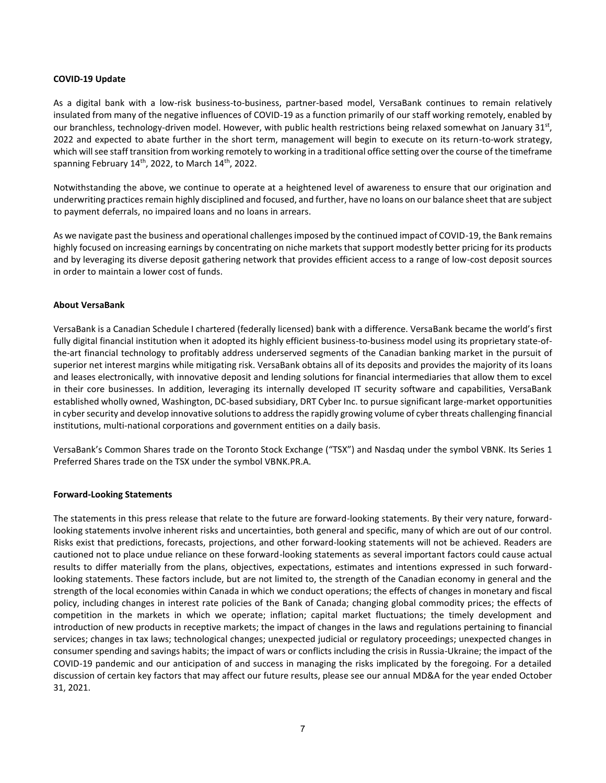## **COVID-19 Update**

As a digital bank with a low-risk business-to-business, partner-based model, VersaBank continues to remain relatively insulated from many of the negative influences of COVID-19 as a function primarily of our staff working remotely, enabled by our branchless, technology-driven model. However, with public health restrictions being relaxed somewhat on January 31st, 2022 and expected to abate further in the short term, management will begin to execute on its return-to-work strategy, which will see staff transition from working remotely to working in a traditional office setting over the course of the timeframe spanning February  $14<sup>th</sup>$ , 2022, to March  $14<sup>th</sup>$ , 2022.

Notwithstanding the above, we continue to operate at a heightened level of awareness to ensure that our origination and underwriting practices remain highly disciplined and focused, and further, have no loans on our balance sheet that are subject to payment deferrals, no impaired loans and no loans in arrears.

As we navigate past the business and operational challenges imposed by the continued impact of COVID-19, the Bank remains highly focused on increasing earnings by concentrating on niche markets that support modestly better pricing for its products and by leveraging its diverse deposit gathering network that provides efficient access to a range of low-cost deposit sources in order to maintain a lower cost of funds.

# **About VersaBank**

VersaBank is a Canadian Schedule I chartered (federally licensed) bank with a difference. VersaBank became the world's first fully digital financial institution when it adopted its highly efficient business-to-business model using its proprietary state-ofthe-art financial technology to profitably address underserved segments of the Canadian banking market in the pursuit of superior net interest margins while mitigating risk. VersaBank obtains all of its deposits and provides the majority of its loans and leases electronically, with innovative deposit and lending solutions for financial intermediaries that allow them to excel in their core businesses. In addition, leveraging its internally developed IT security software and capabilities, VersaBank established wholly owned, Washington, DC-based subsidiary, DRT Cyber Inc. to pursue significant large-market opportunities in cyber security and develop innovative solutions to address the rapidly growing volume of cyber threats challenging financial institutions, multi-national corporations and government entities on a daily basis.

VersaBank's Common Shares trade on the Toronto Stock Exchange ("TSX") and Nasdaq under the symbol VBNK. Its Series 1 Preferred Shares trade on the TSX under the symbol VBNK.PR.A.

## **Forward-Looking Statements**

The statements in this press release that relate to the future are forward-looking statements. By their very nature, forwardlooking statements involve inherent risks and uncertainties, both general and specific, many of which are out of our control. Risks exist that predictions, forecasts, projections, and other forward-looking statements will not be achieved. Readers are cautioned not to place undue reliance on these forward-looking statements as several important factors could cause actual results to differ materially from the plans, objectives, expectations, estimates and intentions expressed in such forwardlooking statements. These factors include, but are not limited to, the strength of the Canadian economy in general and the strength of the local economies within Canada in which we conduct operations; the effects of changes in monetary and fiscal policy, including changes in interest rate policies of the Bank of Canada; changing global commodity prices; the effects of competition in the markets in which we operate; inflation; capital market fluctuations; the timely development and introduction of new products in receptive markets; the impact of changes in the laws and regulations pertaining to financial services; changes in tax laws; technological changes; unexpected judicial or regulatory proceedings; unexpected changes in consumer spending and savings habits; the impact of wars or conflicts including the crisis in Russia-Ukraine; the impact of the COVID-19 pandemic and our anticipation of and success in managing the risks implicated by the foregoing. For a detailed discussion of certain key factors that may affect our future results, please see our annual MD&A for the year ended October 31, 2021.